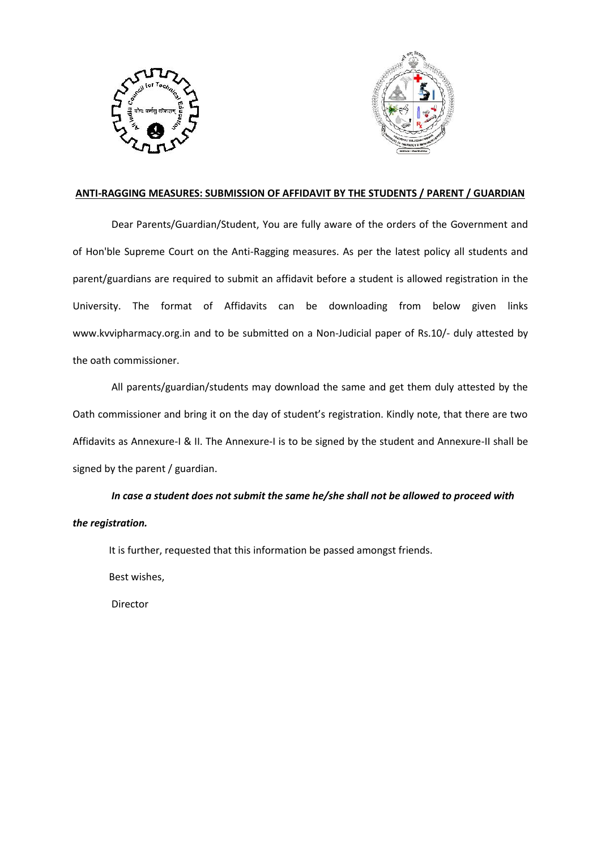



# **ANTI-RAGGING MEASURES: SUBMISSION OF AFFIDAVIT BY THE STUDENTS / PARENT / GUARDIAN**

Dear Parents/Guardian/Student, You are fully aware of the orders of the Government and of Hon'ble Supreme Court on the Anti-Ragging measures. As per the latest policy all students and parent/guardians are required to submit an affidavit before a student is allowed registration in the University. The format of Affidavits can be downloading from below given links www.kvvipharmacy.org.in and to be submitted on a Non-Judicial paper of Rs.10/- duly attested by the oath commissioner.

All parents/guardian/students may download the same and get them duly attested by the Oath commissioner and bring it on the day of student's registration. Kindly note, that there are two Affidavits as Annexure-I & II. The Annexure-I is to be signed by the student and Annexure-II shall be signed by the parent / guardian.

*In case a student does not submit the same he/she shall not be allowed to proceed with the registration.*

It is further, requested that this information be passed amongst friends.

Best wishes,

Director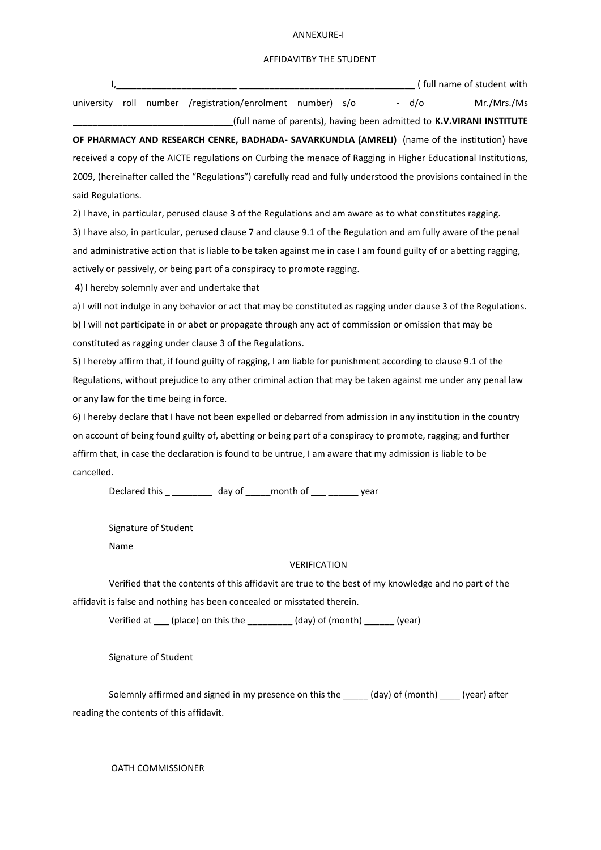#### ANNEXURE-I

## AFFIDAVITBY THE STUDENT

\_\_\_\_\_\_\_\_\_\_\_\_\_\_\_\_\_\_\_\_\_\_\_\_\_\_\_\_\_\_\_\_(full name of parents), having been admitted to **K.V.VIRANI INSTITUTE**

|  |  |                                                            |  |  |  | full name of student with |             |  |
|--|--|------------------------------------------------------------|--|--|--|---------------------------|-------------|--|
|  |  | university roll number /registration/enrolment number) s/o |  |  |  | d/o                       | Mr./Mrs./Ms |  |

**OF PHARMACY AND RESEARCH CENRE, BADHADA- SAVARKUNDLA (AMRELI)** (name of the institution) have received a copy of the AICTE regulations on Curbing the menace of Ragging in Higher Educational Institutions, 2009, (hereinafter called the "Regulations") carefully read and fully understood the provisions contained in the said Regulations.

2) I have, in particular, perused clause 3 of the Regulations and am aware as to what constitutes ragging.

3) I have also, in particular, perused clause 7 and clause 9.1 of the Regulation and am fully aware of the penal and administrative action that is liable to be taken against me in case I am found guilty of or abetting ragging, actively or passively, or being part of a conspiracy to promote ragging.

4) I hereby solemnly aver and undertake that

a) I will not indulge in any behavior or act that may be constituted as ragging under clause 3 of the Regulations. b) I will not participate in or abet or propagate through any act of commission or omission that may be constituted as ragging under clause 3 of the Regulations.

5) I hereby affirm that, if found guilty of ragging, I am liable for punishment according to clause 9.1 of the Regulations, without prejudice to any other criminal action that may be taken against me under any penal law or any law for the time being in force.

6) I hereby declare that I have not been expelled or debarred from admission in any institution in the country on account of being found guilty of, abetting or being part of a conspiracy to promote, ragging; and further affirm that, in case the declaration is found to be untrue, I am aware that my admission is liable to be cancelled.

Declared this \_ \_\_\_\_\_\_\_\_ day of \_\_\_\_\_month of \_\_\_ \_\_\_\_\_\_ year

Signature of Student

Name

### VERIFICATION

Verified that the contents of this affidavit are true to the best of my knowledge and no part of the affidavit is false and nothing has been concealed or misstated therein.

Verified at \_\_\_ (place) on this the \_\_\_\_\_\_\_\_\_ (day) of (month) \_\_\_\_\_\_ (year)

Signature of Student

Solemnly affirmed and signed in my presence on this the \_\_\_\_\_ (day) of (month) \_\_\_\_ (year) after reading the contents of this affidavit.

OATH COMMISSIONER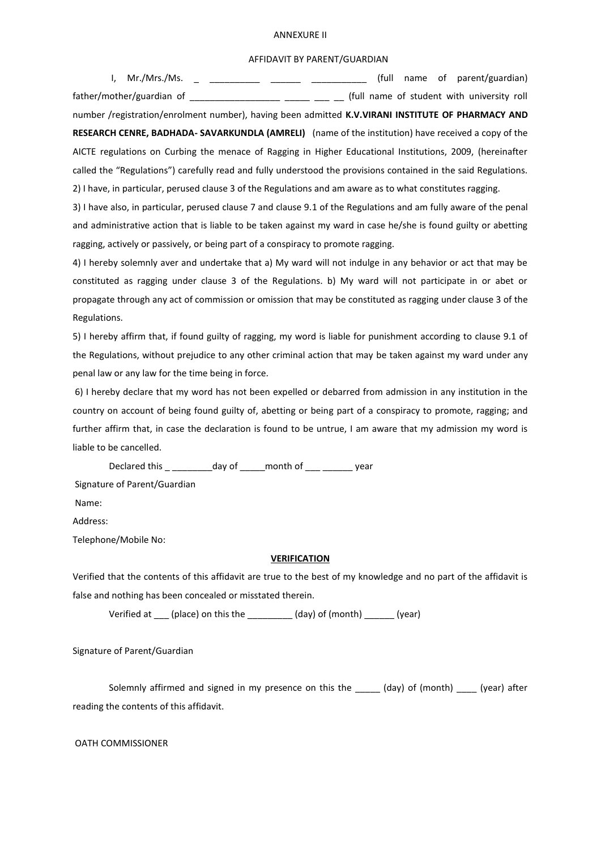#### ANNEXURE II

## AFFIDAVIT BY PARENT/GUARDIAN

I, Mr./Mrs./Ms. \_ \_ \_ \_ \_ \_ \_ \_ \_ \_ \_ \_ \_ \_ \_ \_ (full name of parent/guardian) father/mother/guardian of \_\_\_\_\_\_\_\_\_\_\_\_\_\_\_\_\_\_\_\_\_ \_\_\_ \_\_\_ (full name of student with university roll number /registration/enrolment number), having been admitted **K.V.VIRANI INSTITUTE OF PHARMACY AND RESEARCH CENRE, BADHADA- SAVARKUNDLA (AMRELI)** (name of the institution) have received a copy of the AICTE regulations on Curbing the menace of Ragging in Higher Educational Institutions, 2009, (hereinafter called the "Regulations") carefully read and fully understood the provisions contained in the said Regulations. 2) I have, in particular, perused clause 3 of the Regulations and am aware as to what constitutes ragging.

3) I have also, in particular, perused clause 7 and clause 9.1 of the Regulations and am fully aware of the penal and administrative action that is liable to be taken against my ward in case he/she is found guilty or abetting ragging, actively or passively, or being part of a conspiracy to promote ragging.

4) I hereby solemnly aver and undertake that a) My ward will not indulge in any behavior or act that may be constituted as ragging under clause 3 of the Regulations. b) My ward will not participate in or abet or propagate through any act of commission or omission that may be constituted as ragging under clause 3 of the Regulations.

5) I hereby affirm that, if found guilty of ragging, my word is liable for punishment according to clause 9.1 of the Regulations, without prejudice to any other criminal action that may be taken against my ward under any penal law or any law for the time being in force.

6) I hereby declare that my word has not been expelled or debarred from admission in any institution in the country on account of being found guilty of, abetting or being part of a conspiracy to promote, ragging; and further affirm that, in case the declaration is found to be untrue, I am aware that my admission my word is liable to be cancelled.

Declared this \_\_\_\_\_\_\_\_\_\_\_day of \_\_\_\_\_month of \_\_\_ \_\_\_\_\_\_\_ year Signature of Parent/Guardian

Name:

Address:

Telephone/Mobile No:

# **VERIFICATION**

Verified that the contents of this affidavit are true to the best of my knowledge and no part of the affidavit is false and nothing has been concealed or misstated therein.

Verified at (place) on this the (day) of (month) (year)

Signature of Parent/Guardian

Solemnly affirmed and signed in my presence on this the \_\_\_\_\_ (day) of (month) (year) after reading the contents of this affidavit.

OATH COMMISSIONER